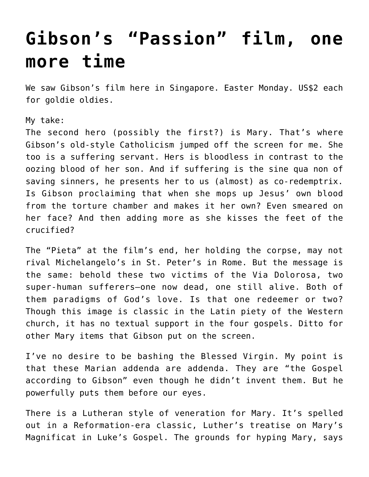## **[Gibson's "Passion" film, one](https://crossings.org/gibsons-passion-film-one-more-time/) [more time](https://crossings.org/gibsons-passion-film-one-more-time/)**

We saw Gibson's film here in Singapore. Easter Monday. US\$2 each for goldie oldies.

My take:

The second hero (possibly the first?) is Mary. That's where Gibson's old-style Catholicism jumped off the screen for me. She too is a suffering servant. Hers is bloodless in contrast to the oozing blood of her son. And if suffering is the sine qua non of saving sinners, he presents her to us (almost) as co-redemptrix. Is Gibson proclaiming that when she mops up Jesus' own blood from the torture chamber and makes it her own? Even smeared on her face? And then adding more as she kisses the feet of the crucified?

The "Pieta" at the film's end, her holding the corpse, may not rival Michelangelo's in St. Peter's in Rome. But the message is the same: behold these two victims of the Via Dolorosa, two super-human sufferers–one now dead, one still alive. Both of them paradigms of God's love. Is that one redeemer or two? Though this image is classic in the Latin piety of the Western church, it has no textual support in the four gospels. Ditto for other Mary items that Gibson put on the screen.

I've no desire to be bashing the Blessed Virgin. My point is that these Marian addenda are addenda. They are "the Gospel according to Gibson" even though he didn't invent them. But he powerfully puts them before our eyes.

There is a Lutheran style of veneration for Mary. It's spelled out in a Reformation-era classic, Luther's treatise on Mary's Magnificat in Luke's Gospel. The grounds for hyping Mary, says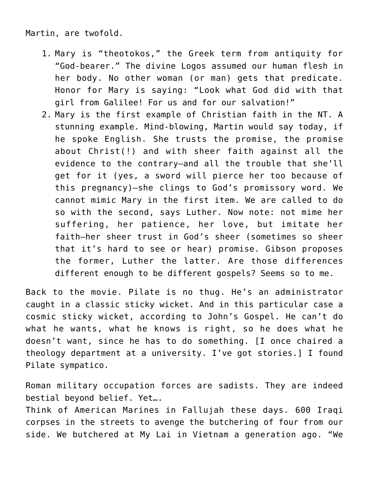Martin, are twofold.

- 1. Mary is "theotokos," the Greek term from antiquity for "God-bearer." The divine Logos assumed our human flesh in her body. No other woman (or man) gets that predicate. Honor for Mary is saying: "Look what God did with that girl from Galilee! For us and for our salvation!"
- 2. Mary is the first example of Christian faith in the NT. A stunning example. Mind-blowing, Martin would say today, if he spoke English. She trusts the promise, the promise about Christ(!) and with sheer faith against all the evidence to the contrary–and all the trouble that she'll get for it (yes, a sword will pierce her too because of this pregnancy)–she clings to God's promissory word. We cannot mimic Mary in the first item. We are called to do so with the second, says Luther. Now note: not mime her suffering, her patience, her love, but imitate her faith–her sheer trust in God's sheer (sometimes so sheer that it's hard to see or hear) promise. Gibson proposes the former, Luther the latter. Are those differences different enough to be different gospels? Seems so to me.

Back to the movie. Pilate is no thug. He's an administrator caught in a classic sticky wicket. And in this particular case a cosmic sticky wicket, according to John's Gospel. He can't do what he wants, what he knows is right, so he does what he doesn't want, since he has to do something. [I once chaired a theology department at a university. I've got stories.] I found Pilate sympatico.

Roman military occupation forces are sadists. They are indeed bestial beyond belief. Yet….

Think of American Marines in Fallujah these days. 600 Iraqi corpses in the streets to avenge the butchering of four from our side. We butchered at My Lai in Vietnam a generation ago. "We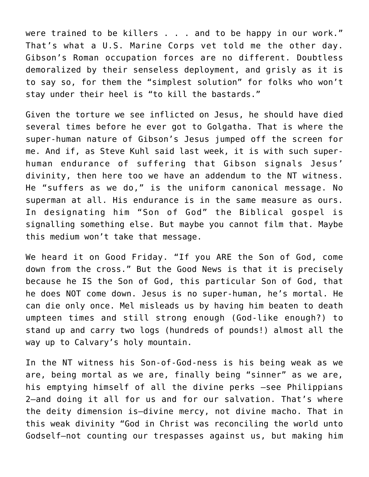were trained to be killers . . . and to be happy in our work." That's what a U.S. Marine Corps vet told me the other day. Gibson's Roman occupation forces are no different. Doubtless demoralized by their senseless deployment, and grisly as it is to say so, for them the "simplest solution" for folks who won't stay under their heel is "to kill the bastards."

Given the torture we see inflicted on Jesus, he should have died several times before he ever got to Golgatha. That is where the super-human nature of Gibson's Jesus jumped off the screen for me. And if, as Steve Kuhl said last week, it is with such superhuman endurance of suffering that Gibson signals Jesus' divinity, then here too we have an addendum to the NT witness. He "suffers as we do," is the uniform canonical message. No superman at all. His endurance is in the same measure as ours. In designating him "Son of God" the Biblical gospel is signalling something else. But maybe you cannot film that. Maybe this medium won't take that message.

We heard it on Good Friday. "If you ARE the Son of God, come down from the cross." But the Good News is that it is precisely because he IS the Son of God, this particular Son of God, that he does NOT come down. Jesus is no super-human, he's mortal. He can die only once. Mel misleads us by having him beaten to death umpteen times and still strong enough (God-like enough?) to stand up and carry two logs (hundreds of pounds!) almost all the way up to Calvary's holy mountain.

In the NT witness his Son-of-God-ness is his being weak as we are, being mortal as we are, finally being "sinner" as we are, his emptying himself of all the divine perks –see Philippians 2–and doing it all for us and for our salvation. That's where the deity dimension is–divine mercy, not divine macho. That in this weak divinity "God in Christ was reconciling the world unto Godself–not counting our trespasses against us, but making him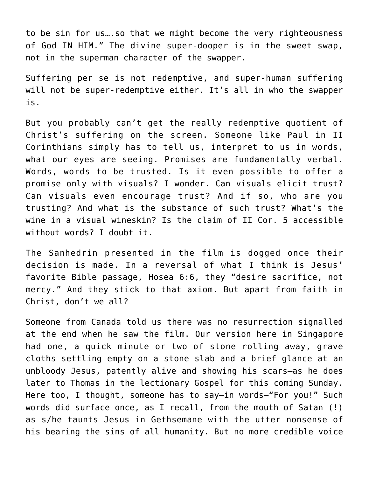to be sin for us….so that we might become the very righteousness of God IN HIM." The divine super-dooper is in the sweet swap, not in the superman character of the swapper.

Suffering per se is not redemptive, and super-human suffering will not be super-redemptive either. It's all in who the swapper is.

But you probably can't get the really redemptive quotient of Christ's suffering on the screen. Someone like Paul in II Corinthians simply has to tell us, interpret to us in words, what our eyes are seeing. Promises are fundamentally verbal. Words, words to be trusted. Is it even possible to offer a promise only with visuals? I wonder. Can visuals elicit trust? Can visuals even encourage trust? And if so, who are you trusting? And what is the substance of such trust? What's the wine in a visual wineskin? Is the claim of II Cor. 5 accessible without words? I doubt it.

The Sanhedrin presented in the film is dogged once their decision is made. In a reversal of what I think is Jesus' favorite Bible passage, Hosea 6:6, they "desire sacrifice, not mercy." And they stick to that axiom. But apart from faith in Christ, don't we all?

Someone from Canada told us there was no resurrection signalled at the end when he saw the film. Our version here in Singapore had one, a quick minute or two of stone rolling away, grave cloths settling empty on a stone slab and a brief glance at an unbloody Jesus, patently alive and showing his scars–as he does later to Thomas in the lectionary Gospel for this coming Sunday. Here too, I thought, someone has to say–in words–"For you!" Such words did surface once, as I recall, from the mouth of Satan (!) as s/he taunts Jesus in Gethsemane with the utter nonsense of his bearing the sins of all humanity. But no more credible voice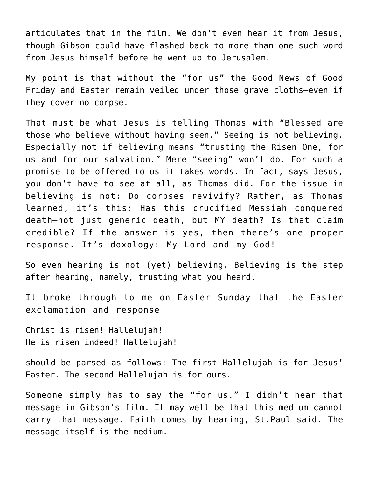articulates that in the film. We don't even hear it from Jesus, though Gibson could have flashed back to more than one such word from Jesus himself before he went up to Jerusalem.

My point is that without the "for us" the Good News of Good Friday and Easter remain veiled under those grave cloths–even if they cover no corpse.

That must be what Jesus is telling Thomas with "Blessed are those who believe without having seen." Seeing is not believing. Especially not if believing means "trusting the Risen One, for us and for our salvation." Mere "seeing" won't do. For such a promise to be offered to us it takes words. In fact, says Jesus, you don't have to see at all, as Thomas did. For the issue in believing is not: Do corpses revivify? Rather, as Thomas learned, it's this: Has this crucified Messiah conquered death–not just generic death, but MY death? Is that claim credible? If the answer is yes, then there's one proper response. It's doxology: My Lord and my God!

So even hearing is not (yet) believing. Believing is the step after hearing, namely, trusting what you heard.

It broke through to me on Easter Sunday that the Easter exclamation and response

Christ is risen! Hallelujah! He is risen indeed! Hallelujah!

should be parsed as follows: The first Hallelujah is for Jesus' Easter. The second Hallelujah is for ours.

Someone simply has to say the "for us." I didn't hear that message in Gibson's film. It may well be that this medium cannot carry that message. Faith comes by hearing, St.Paul said. The message itself is the medium.